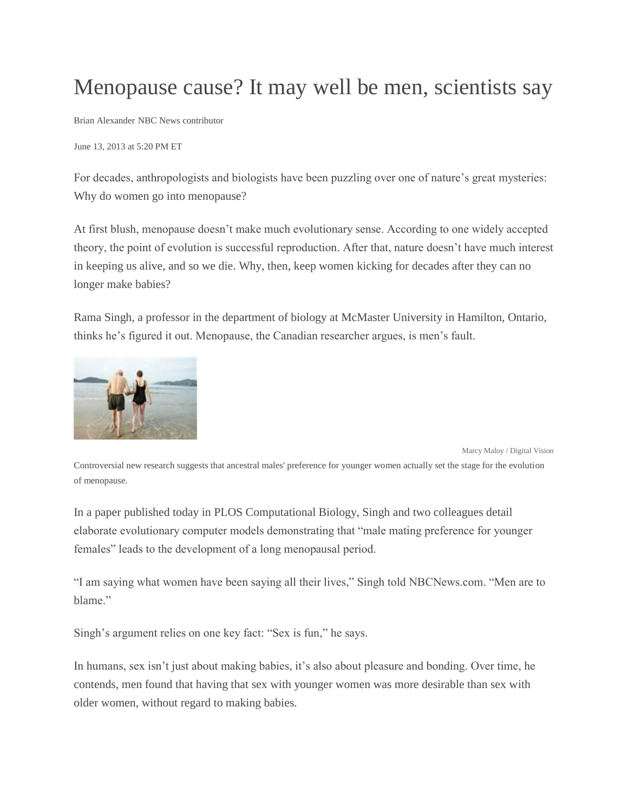## Menopause cause? It may well be men, scientists say

Brian Alexander NBC News contributor

June 13, 2013 at 5:20 PM ET

For decades, anthropologists and biologists have been puzzling over one of nature's great mysteries: Why do women go into menopause?

At first blush, menopause doesn't make much evolutionary sense. According to one widely accepted theory, the point of evolution is successful reproduction. After that, nature doesn't have much interest in keeping us alive, and so we die. Why, then, keep women kicking for decades after they can no longer make babies?

Rama Singh, a professor in the department of biology at McMaster University in Hamilton, Ontario, thinks he's figured it out. Menopause, the Canadian researcher argues, is men's fault.



Marcy Maloy / Digital Vision

Controversial new research suggests that ancestral males' preference for younger women actually set the stage for the evolution of menopause.

In a paper published today in PLOS Computational Biology, Singh and two colleagues detail elaborate evolutionary computer models demonstrating that "male mating preference for younger females" leads to the development of a long menopausal period.

"I am saying what women have been saying all their lives," Singh told NBCNews.com. "Men are to blame."

Singh's argument relies on one key fact: "Sex is fun," he says.

In humans, sex isn't just about making babies, it's also about pleasure and bonding. Over time, he contends, men found that having that sex with younger women was more desirable than sex with older women, without regard to making babies.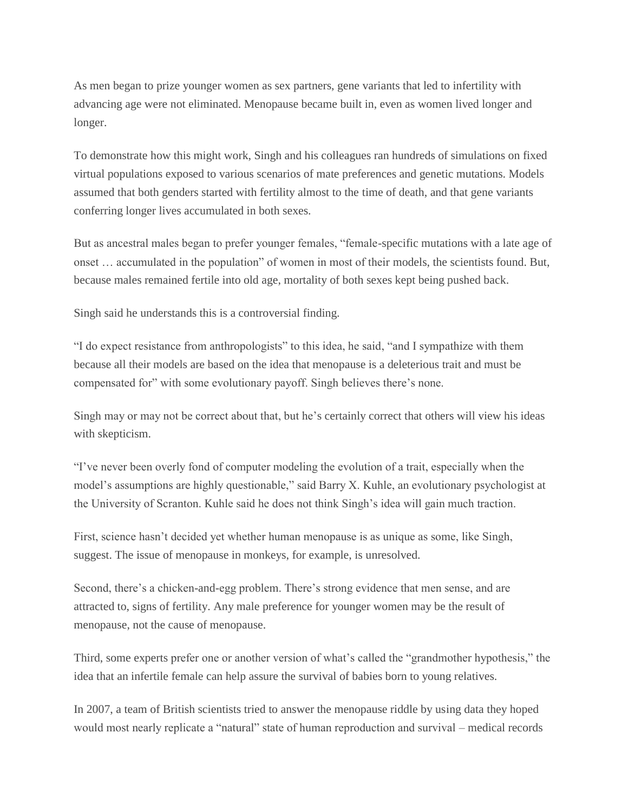As men began to prize younger women as sex partners, gene variants that led to infertility with advancing age were not eliminated. Menopause became built in, even as women lived longer and longer.

To demonstrate how this might work, Singh and his colleagues ran hundreds of simulations on fixed virtual populations exposed to various scenarios of mate preferences and genetic mutations. Models assumed that both genders started with fertility almost to the time of death, and that gene variants conferring longer lives accumulated in both sexes.

But as ancestral males began to prefer younger females, "female-specific mutations with a late age of onset … accumulated in the population" of women in most of their models, the scientists found. But, because males remained fertile into old age, mortality of both sexes kept being pushed back.

Singh said he understands this is a controversial finding.

"I do expect resistance from anthropologists" to this idea, he said, "and I sympathize with them because all their models are based on the idea that menopause is a deleterious trait and must be compensated for" with some evolutionary payoff. Singh believes there's none.

Singh may or may not be correct about that, but he's certainly correct that others will view his ideas with skepticism.

"I've never been overly fond of computer modeling the evolution of a trait, especially when the model's assumptions are highly questionable," said Barry X. Kuhle, an evolutionary psychologist at the University of Scranton. Kuhle said he does not think Singh's idea will gain much traction.

First, science hasn't decided yet whether human menopause is as unique as some, like Singh, suggest. The issue of menopause in monkeys, for example, is unresolved.

Second, there's a chicken-and-egg problem. There's strong evidence that men sense, and are attracted to, signs of fertility. Any male preference for younger women may be the result of menopause, not the cause of menopause.

Third, some experts prefer one or another version of what's called the "grandmother hypothesis," the idea that an infertile female can help assure the survival of babies born to young relatives.

In 2007, a team of British scientists tried to answer the menopause riddle by using data they hoped would most nearly replicate a "natural" state of human reproduction and survival – medical records